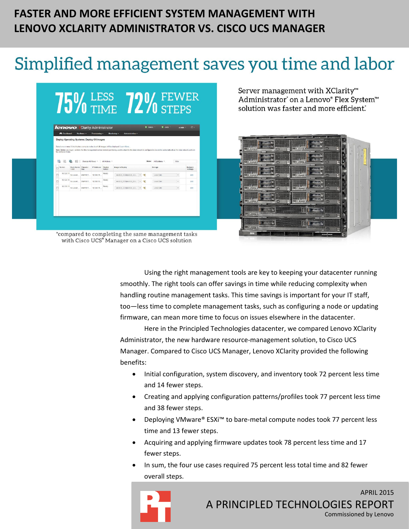# **FASTER AND MORE EFFICIENT SYSTEM MANAGEMENT WITH LENOVO XCLARITY ADMINISTRATOR VS. CISCO UCS MANAGER**

# Simplified management saves you time and labor

# 75% LESS 72% FEWER

|        | the compute nodes. |                     |                  |            |                  | Select one or more X-Architecture compute nodes to which images will be deployed. Learn More<br>Note: Before you begin, validate that the management server network port being used to attach to the data network is configured to be on the same network as the data network ports on |               |                     |                  |                            |
|--------|--------------------|---------------------|------------------|------------|------------------|----------------------------------------------------------------------------------------------------------------------------------------------------------------------------------------------------------------------------------------------------------------------------------------|---------------|---------------------|------------------|----------------------------|
|        | 嚃                  | e.<br>取代            | Change All Rows  |            | All Actions =    |                                                                                                                                                                                                                                                                                        |               | Show: All Systems - | Filter           |                            |
|        | Server             | Rock Name<br>/ Unit | Chassis /<br>Bay | IP Address | Deploy<br>Status | Image to Deploy                                                                                                                                                                                                                                                                        |               | Storage             |                  | <b>Network</b><br>Settings |
| □      | 10.128.11          | No Locati           | SN#Y011.         | 10.128.11  | Ready            | esxi5.5_2.33(esxi5.5_2.3 -                                                                                                                                                                                                                                                             | $\mathscr{A}$ | Local Disk          | $\omega$         | Edit                       |
| $\Box$ | 10.128.15          | No Locati           | SN#Y011          | 10.128.15. | Realy            | eski5.5_2.33(eski5.5_2.3<br>٠                                                                                                                                                                                                                                                          | $\propto$     | Local Disk          | ¥.               | Edit                       |
| o      | 10.128.11          | No Locati           | SN#Y011.         | 10,128.11  | Renty            | esxi5.5_2.33(esxi5.5_2.3<br>$\scriptstyle\star$                                                                                                                                                                                                                                        | $\propto$     | Local DISK          | $\omega_{\rm c}$ | Edit                       |
|        |                    |                     |                  |            |                  |                                                                                                                                                                                                                                                                                        |               |                     |                  |                            |

Server management with XClarity<sup>™</sup> Administrator' on a Lenovo® Flex System<sup>™</sup> solution was faster and more efficient.



\*compared to completing the same management tasks with Cisco UCS® Manager on a Cisco UCS solution

> Using the right management tools are key to keeping your datacenter running smoothly. The right tools can offer savings in time while reducing complexity when handling routine management tasks. This time savings is important for your IT staff, too—less time to complete management tasks, such as configuring a node or updating firmware, can mean more time to focus on issues elsewhere in the datacenter.

> Here in the Principled Technologies datacenter, we compared Lenovo XClarity Administrator, the new hardware resource-management solution, to Cisco UCS Manager. Compared to Cisco UCS Manager, Lenovo XClarity provided the following benefits:

- Initial configuration, system discovery, and inventory took 72 percent less time and 14 fewer steps.
- Creating and applying configuration patterns/profiles took 77 percent less time and 38 fewer steps.
- Deploying VMware® ESXi™ to bare-metal compute nodes took 77 percent less time and 13 fewer steps.
- Acquiring and applying firmware updates took 78 percent less time and 17 fewer steps.
- In sum, the four use cases required 75 percent less total time and 82 fewer overall steps.

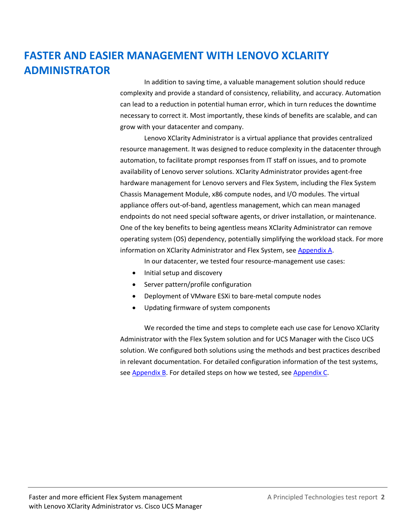# **FASTER AND EASIER MANAGEMENT WITH LENOVO XCLARITY ADMINISTRATOR**

In addition to saving time, a valuable management solution should reduce complexity and provide a standard of consistency, reliability, and accuracy. Automation can lead to a reduction in potential human error, which in turn reduces the downtime necessary to correct it. Most importantly, these kinds of benefits are scalable, and can grow with your datacenter and company.

Lenovo XClarity Administrator is a virtual appliance that provides centralized resource management. It was designed to reduce complexity in the datacenter through automation, to facilitate prompt responses from IT staff on issues, and to promote availability of Lenovo server solutions. XClarity Administrator provides agent-free hardware management for Lenovo servers and Flex System, including the Flex System Chassis Management Module, x86 compute nodes, and I/O modules. The virtual appliance offers out-of-band, agentless management, which can mean managed endpoints do not need special software agents, or driver installation, or maintenance. One of the key benefits to being agentless means XClarity Administrator can remove operating system (OS) dependency, potentially simplifying the workload stack. For more information on XClarity Administrator and Flex System, see [Appendix A.](#page-10-0)

In our datacenter, we tested four resource-management use cases:

- Initial setup and discovery
- Server pattern/profile configuration
- Deployment of VMware ESXi to bare-metal compute nodes
- Updating firmware of system components

We recorded the time and steps to complete each use case for Lenovo XClarity Administrator with the Flex System solution and for UCS Manager with the Cisco UCS solution. We configured both solutions using the methods and best practices described in relevant documentation. For detailed configuration information of the test systems, se[e Appendix B.](#page-11-0) For detailed steps on how we tested, see [Appendix C.](#page-14-0)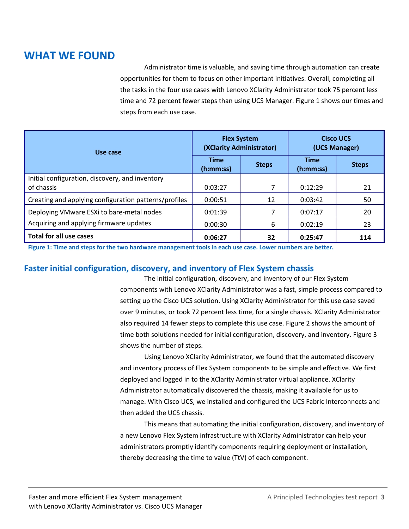## **WHAT WE FOUND**

Administrator time is valuable, and saving time through automation can create opportunities for them to focus on other important initiatives. Overall, completing all the tasks in the four use cases with Lenovo XClarity Administrator took 75 percent less time and 72 percent fewer steps than using UCS Manager. Figure 1 shows our times and steps from each use case.

| Use case                                                      |                          | <b>Flex System</b><br>(XClarity Administrator) | <b>Cisco UCS</b><br>(UCS Manager) |              |  |
|---------------------------------------------------------------|--------------------------|------------------------------------------------|-----------------------------------|--------------|--|
|                                                               | <b>Time</b><br>(h:mm:ss) | <b>Steps</b>                                   | <b>Time</b><br>(h:mm:ss)          | <b>Steps</b> |  |
| Initial configuration, discovery, and inventory<br>of chassis | 0:03:27                  |                                                | 0:12:29                           | 21           |  |
| Creating and applying configuration patterns/profiles         | 0:00:51                  | 12                                             | 0:03:42                           | 50           |  |
| Deploying VMware ESXi to bare-metal nodes                     | 0:01:39                  | 7                                              | 0:07:17                           | 20           |  |
| Acquiring and applying firmware updates                       | 0:00:30                  | 6                                              | 0:02:19                           | 23           |  |
| <b>Total for all use cases</b>                                | 0:06:27                  | 32                                             | 0:25:47                           | 114          |  |

**Figure 1: Time and steps for the two hardware management tools in each use case. Lower numbers are better.**

#### **Faster initial configuration, discovery, and inventory of Flex System chassis**

The initial configuration, discovery, and inventory of our Flex System components with Lenovo XClarity Administrator was a fast, simple process compared to setting up the Cisco UCS solution. Using XClarity Administrator for this use case saved over 9 minutes, or took 72 percent less time, for a single chassis. XClarity Administrator also required 14 fewer steps to complete this use case. Figure 2 shows the amount of time both solutions needed for initial configuration, discovery, and inventory. Figure 3 shows the number of steps.

Using Lenovo XClarity Administrator, we found that the automated discovery and inventory process of Flex System components to be simple and effective. We first deployed and logged in to the XClarity Administrator virtual appliance. XClarity Administrator automatically discovered the chassis, making it available for us to manage. With Cisco UCS, we installed and configured the UCS Fabric Interconnects and then added the UCS chassis.

This means that automating the initial configuration, discovery, and inventory of a new Lenovo Flex System infrastructure with XClarity Administrator can help your administrators promptly identify components requiring deployment or installation, thereby decreasing the time to value (TtV) of each component.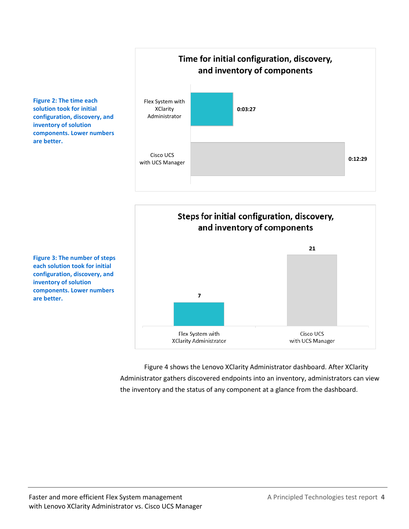

Steps for initial configuration, discovery, and inventory of components 21  $\overline{7}$ Flex System with Cisco UCS **XClarity Administrator** with UCS Manager

Figure 4 shows the Lenovo XClarity Administrator dashboard. After XClarity Administrator gathers discovered endpoints into an inventory, administrators can view the inventory and the status of any component at a glance from the dashboard.

**Figure 2: The time each solution took for initial configuration, discovery, and inventory of solution components. Lower numbers are better.**

**Figure 3: The number of steps each solution took for initial configuration, discovery, and inventory of solution components. Lower numbers are better.**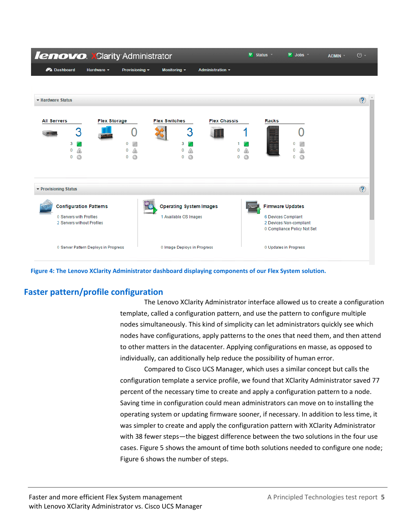| <b>lenovo. XClarity Administrator</b>                                                  |                                      |                  |                                                         |                         | v                             | Status *     | $\triangledown$ Jobs $\triangledown$                                                                     | ADMIN * | $\circledcirc$ - |
|----------------------------------------------------------------------------------------|--------------------------------------|------------------|---------------------------------------------------------|-------------------------|-------------------------------|--------------|----------------------------------------------------------------------------------------------------------|---------|------------------|
| <b>PA</b> Dashboard                                                                    | Hardware v                           | Provisioning ~   | Monitoring $\sim$                                       | <b>Administration ▼</b> |                               |              |                                                                                                          |         |                  |
|                                                                                        |                                      |                  |                                                         |                         |                               |              |                                                                                                          |         |                  |
| ▼ Hardware Status                                                                      |                                      |                  |                                                         |                         |                               |              |                                                                                                          |         | $\circledR$      |
| <b>All Servers</b><br>3<br>3<br>0<br>⋒<br>G<br>$\bf{0}$                                | <b>Flex Storage</b>                  | 0<br>n<br>Q<br>0 | <b>Flex Switches</b><br>3<br>3<br>0<br>0<br>Q           | <b>Flex Chassis</b>     | ◬<br>0<br>$\odot$<br>$\bf{0}$ | <b>Racks</b> | $\Omega$<br>Q<br>$\Omega$                                                                                |         |                  |
| ▼ Provisioning Status                                                                  |                                      |                  |                                                         |                         |                               |              |                                                                                                          |         | $\circled{?}$    |
| <b>Configuration Patterns</b><br>0 Servers with Profiles<br>2 Servers without Profiles |                                      |                  | <b>Operating System Images</b><br>1 Available OS Images |                         |                               |              | <b>Firmware Updates</b><br>6 Devices Compliant<br>2 Devices Non-compliant<br>0 Compliance Policy Not Set |         |                  |
|                                                                                        | 0 Server Pattern Deploys in Progress |                  | 0 Image Deploys in Progress                             |                         |                               |              | 0 Updates in Progress                                                                                    |         |                  |

**Figure 4: The Lenovo XClarity Administrator dashboard displaying components of our Flex System solution.**

#### **Faster pattern/profile configuration**

The Lenovo XClarity Administrator interface allowed us to create a configuration template, called a configuration pattern, and use the pattern to configure multiple nodes simultaneously. This kind of simplicity can let administrators quickly see which nodes have configurations, apply patterns to the ones that need them, and then attend to other matters in the datacenter. Applying configurations en masse, as opposed to individually, can additionally help reduce the possibility of human error.

Compared to Cisco UCS Manager, which uses a similar concept but calls the configuration template a service profile, we found that XClarity Administrator saved 77 percent of the necessary time to create and apply a configuration pattern to a node. Saving time in configuration could mean administrators can move on to installing the operating system or updating firmware sooner, if necessary. In addition to less time, it was simpler to create and apply the configuration pattern with XClarity Administrator with 38 fewer steps—the biggest difference between the two solutions in the four use cases. Figure 5 shows the amount of time both solutions needed to configure one node; Figure 6 shows the number of steps.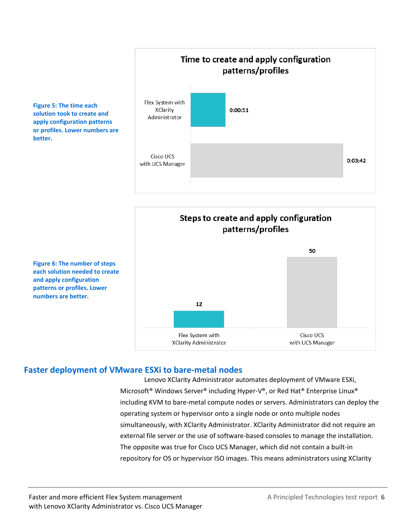

Steps to create and apply configuration patterns/profiles 50 **Figure 6: The number of steps each solution needed to create and apply configuration patterns or profiles. Lower numbers are better.** 12 Flex System with Cisco UCS **XClarity Administrator** with UCS Manager

#### **Faster deployment of VMware ESXi to bare-metal nodes**

**Figure 5: The time each solution took to create and apply configuration patterns or profiles. Lower numbers are** 

**better.**

Lenovo XClarity Administrator automates deployment of VMware ESXi, Microsoft® Windows Server® including Hyper-V®, or Red Hat® Enterprise Linux® including KVM to bare-metal compute nodes or servers. Administrators can deploy the operating system or hypervisor onto a single node or onto multiple nodes simultaneously, with XClarity Administrator. XClarity Administrator did not require an external file server or the use of software-based consoles to manage the installation. The opposite was true for Cisco UCS Manager, which did not contain a built-in repository for OS or hypervisor ISO images. This means administrators using XClarity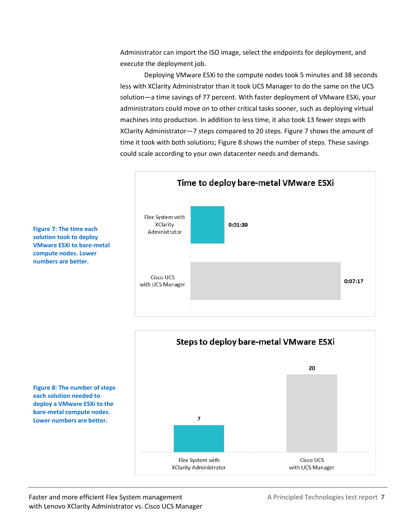Administrator can import the ISO image, select the endpoints for deployment, and execute the deployment job.

Deploying VMware ESXi to the compute nodes took 5 minutes and 38 seconds less with XClarity Administrator than it took UCS Manager to do the same on the UCS solution—a time savings of 77 percent. With faster deployment of VMware ESXi, your administrators could move on to other critical tasks sooner, such as deploying virtual machines into production. In addition to less time, it also took 13 fewer steps with XClarity Administrator—7 steps compared to 20 steps. Figure 7 shows the amount of time it took with both solutions; Figure 8 shows the number of steps. These savings could scale according to your own datacenter needs and demands.





**Figure 7: The time each solution took to deploy VMware ESXi to bare-metal compute nodes. Lower numbers are better.**

**Figure 8: The number of steps each solution needed to deploy a VMware ESXi to the bare-metal compute nodes. Lower numbers are better.**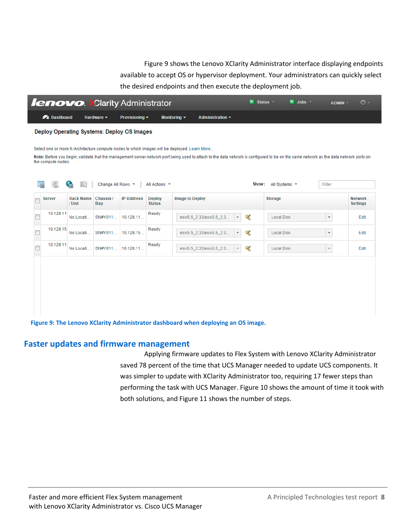Figure 9 shows the Lenovo XClarity Administrator interface displaying endpoints available to accept OS or hypervisor deployment. Your administrators can quickly select the desired endpoints and then execute the deployment job.

| <b>PA</b> Dashboard                 | Hardware $\star$ | Provisioning -<br>Deploy Operating Systems: Deploy OS Images |                                | Monitoring $\sim$                                                                            | Administration $\sim$    |                                                                                  |                   |                          |                                                                                                                                                                                        |
|-------------------------------------|------------------|--------------------------------------------------------------|--------------------------------|----------------------------------------------------------------------------------------------|--------------------------|----------------------------------------------------------------------------------|-------------------|--------------------------|----------------------------------------------------------------------------------------------------------------------------------------------------------------------------------------|
|                                     |                  |                                                              |                                |                                                                                              |                          |                                                                                  |                   |                          |                                                                                                                                                                                        |
|                                     |                  |                                                              |                                |                                                                                              |                          |                                                                                  |                   |                          |                                                                                                                                                                                        |
|                                     |                  |                                                              |                                | Select one or more X-Architecture compute nodes to which images will be deployed. Learn More |                          |                                                                                  |                   |                          |                                                                                                                                                                                        |
| the compute nodes.                  |                  |                                                              |                                |                                                                                              |                          |                                                                                  |                   |                          |                                                                                                                                                                                        |
|                                     |                  |                                                              |                                |                                                                                              |                          |                                                                                  |                   |                          |                                                                                                                                                                                        |
| <b>Critical</b><br>$\mathbb{R}$ (c) |                  |                                                              |                                |                                                                                              |                          |                                                                                  |                   | <b>Filter</b>            |                                                                                                                                                                                        |
| <b>Rack Name</b><br>/ Unit          | Chassis /<br>Bay | <b>IP Address</b>                                            | <b>Deploy</b><br><b>Status</b> | <b>Image to Deploy</b>                                                                       |                          |                                                                                  | <b>Storage</b>    |                          | <b>Network</b><br><b>Settings</b>                                                                                                                                                      |
| No Locati                           | SN#Y011          | 10.128.11                                                    | Ready                          |                                                                                              | $\overline{\phantom{a}}$ | K                                                                                | <b>Local Disk</b> | $\overline{\phantom{a}}$ | Edit                                                                                                                                                                                   |
| 10.128.15<br>No Locati              | SN#Y011          | 10.128.15                                                    | Ready                          |                                                                                              |                          | K                                                                                | <b>Local Disk</b> | $\overline{\phantom{a}}$ | Edit                                                                                                                                                                                   |
| No Locati                           | SN#Y011          | 10.128.11                                                    | Ready                          |                                                                                              | $\overline{\phantom{a}}$ | K                                                                                | <b>Local Disk</b> | $\overline{\mathbf{v}}$  | Edit                                                                                                                                                                                   |
|                                     |                  |                                                              | Change All Rows *              |                                                                                              | All Actions -            | esxi5.5 2.33 esxi5.5 2.3<br>esxi5.5_2.33 esxi5.5_2.3<br>esxi5.5_2.33 esxi5.5_2.3 |                   | Show: All Systems ▼      | Note: Before you begin, validate that the management server network port being used to attach to the data network is configured to be on the same network as the data network ports on |

**Figure 9: The Lenovo XClarity Administrator dashboard when deploying an OS image.**

#### **Faster updates and firmware management**

Applying firmware updates to Flex System with Lenovo XClarity Administrator saved 78 percent of the time that UCS Manager needed to update UCS components. It was simpler to update with XClarity Administrator too, requiring 17 fewer steps than performing the task with UCS Manager. Figure 10 shows the amount of time it took with both solutions, and Figure 11 shows the number of steps.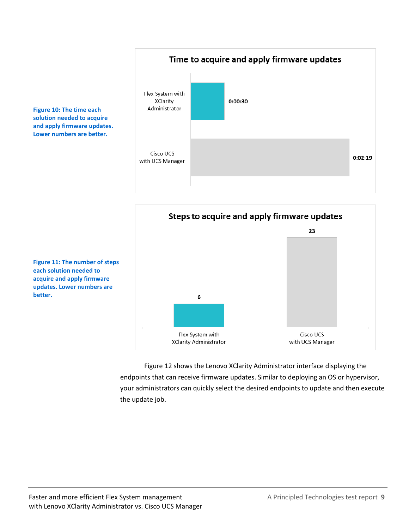#### Time to acquire and apply firmware updates





**Figure 11: The number of steps each solution needed to acquire and apply firmware updates. Lower numbers are better.**

**Figure 10: The time each solution needed to acquire and apply firmware updates. Lower numbers are better.**

> Figure 12 shows the Lenovo XClarity Administrator interface displaying the endpoints that can receive firmware updates. Similar to deploying an OS or hypervisor, your administrators can quickly select the desired endpoints to update and then execute the update job.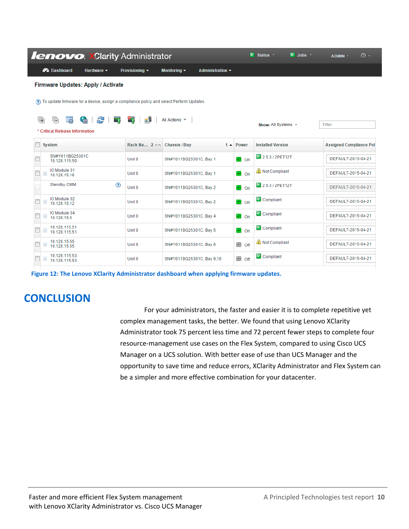| <b>lenovo. XClarity Administrator</b>                                                       |                            |                                                               |                         | $\overline{\mathbb{R}}$ Status $\overline{\mathbb{R}}$ | $\triangledown$ Jobs $\triangledown$ | $\circledcirc$ -<br>ADMIN -    |
|---------------------------------------------------------------------------------------------|----------------------------|---------------------------------------------------------------|-------------------------|--------------------------------------------------------|--------------------------------------|--------------------------------|
| <b>P</b> Dashboard<br>Hardware -                                                            | Provisioning $\sim$        | <b>Monitoring <math>\star</math></b><br>Administration $\sim$ |                         |                                                        |                                      |                                |
| <b>Firmware Updates: Apply / Activate</b>                                                   |                            |                                                               |                         |                                                        |                                      |                                |
| (?) To update firmware for a device, assign a compliance policy and select Perform Updates. |                            |                                                               |                         |                                                        |                                      |                                |
|                                                                                             |                            |                                                               |                         |                                                        |                                      |                                |
| G<br>æ<br>喻<br>18%<br><b>THE REAL</b><br>* Critical Release Information                     | 印<br>역                     | All Actions -                                                 |                         | Show: All Systems -                                    |                                      | Filter                         |
|                                                                                             |                            |                                                               |                         |                                                        |                                      |                                |
| <b>System</b>                                                                               | Rack Na 2 ^^ Chassis / Bay | $1 -$                                                         | Power                   | <b>Installed Version</b>                               |                                      | <b>Assigned Compliance Pol</b> |
| SN#Y011BG25301C<br>10.128.115.50                                                            | Unit 0                     | SN#Y011BG25301C, Bay 1                                        | <u>ଡ</u> ା ଠn           | 2.5.3 / 2PET12T                                        |                                      | DEFAULT-2015-04-21             |
| IO Module 01<br>$\pm$<br>10.128.15.16                                                       | Unit 0                     | SN#Y011BG25301C, Bay 1                                        | <b>®</b> l On           | Not Compliant                                          |                                      | DEFAULT-2015-04-21             |
| <b>Standby CMM</b><br>$\circledcirc$                                                        | Unit 0                     | SN#Y011BG25301C, Bay 2                                        | <b>®</b> On             | 2.5.3 / 2PET12T                                        |                                      | DEFAULT-2015-04-21             |
| IO Module 02<br>$\pm$<br>10.128.15.12                                                       | Unit 0                     | SN#Y011BG25301C, Bay 2                                        | <u>ଡ</u> ା ଠn           | Compliant                                              |                                      | DEFAULT-2015-04-21             |
| IO Module 04<br>$\pm$<br>10.128.15.5                                                        | Unit 0                     | SN#Y011BG25301C, Bay 4                                        | <b>⊛</b> on             | Compliant                                              |                                      | DEFAULT-2015-04-21             |
| 10.128.115.51<br>$\pm$<br>10.128.115.51                                                     | Unit 0                     | SN#Y011BG25301C, Bay 5                                        | <b>⊘</b> on             | Compliant                                              |                                      | DEFAULT-2015-04-21             |
| 10.128.15.55<br>$\pm$<br>10.128.15.55                                                       | Unit 0                     | SN#Y011BG25301C, Bay 6                                        | <b><sup>⊙</sup></b> off | Not Compliant                                          |                                      | DEFAULT-2015-04-21             |
| 10.128.115.53<br>$\pm$<br>10.128.115.53                                                     | Unit 0                     | SN#Y011BG25301C, Bay 9,10                                     | $\circledcirc$<br>Off   | Compliant                                              |                                      | DEFAULT-2015-04-21             |

**Figure 12: The Lenovo XClarity Administrator dashboard when applying firmware updates.**

# **CONCLUSION**

For your administrators, the faster and easier it is to complete repetitive yet complex management tasks, the better. We found that using Lenovo XClarity Administrator took 75 percent less time and 72 percent fewer steps to complete four resource-management use cases on the Flex System, compared to using Cisco UCS Manager on a UCS solution. With better ease of use than UCS Manager and the opportunity to save time and reduce errors, XClarity Administrator and Flex System can be a simpler and more effective combination for your datacenter.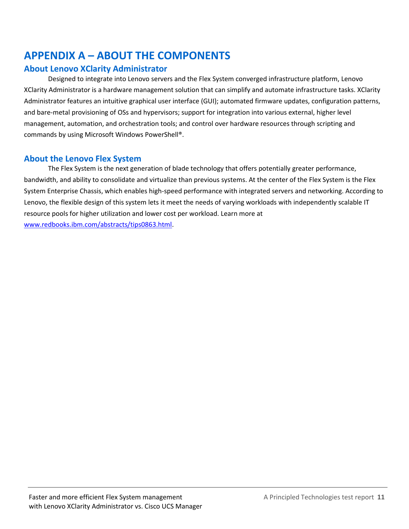# <span id="page-10-0"></span>**APPENDIX A – ABOUT THE COMPONENTS**

#### **About Lenovo XClarity Administrator**

Designed to integrate into Lenovo servers and the Flex System converged infrastructure platform, Lenovo XClarity Administrator is a hardware management solution that can simplify and automate infrastructure tasks. XClarity Administrator features an intuitive graphical user interface (GUI); automated firmware updates, configuration patterns, and bare-metal provisioning of OSs and hypervisors; support for integration into various external, higher level management, automation, and orchestration tools; and control over hardware resources through scripting and commands by using Microsoft Windows PowerShell®.

#### **About the Lenovo Flex System**

The Flex System is the next generation of blade technology that offers potentially greater performance, bandwidth, and ability to consolidate and virtualize than previous systems. At the center of the Flex System is the Flex System Enterprise Chassis, which enables high-speed performance with integrated servers and networking. According to Lenovo, the flexible design of this system lets it meet the needs of varying workloads with independently scalable IT resource pools for higher utilization and lower cost per workload. Learn more at [www.redbooks.ibm.com/abstracts/tips0863.html.](http://www.redbooks.ibm.com/abstracts/tips0863.html)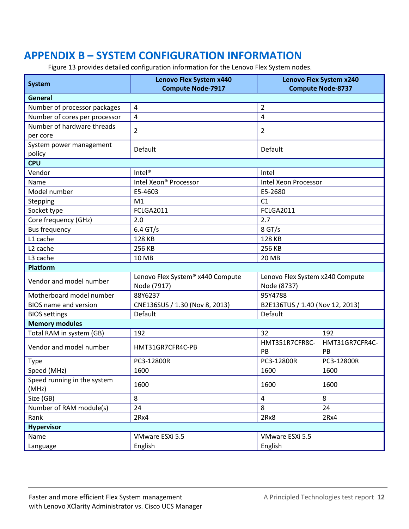# <span id="page-11-0"></span>**APPENDIX B – SYSTEM CONFIGURATION INFORMATION**

Figure 13 provides detailed configuration information for the Lenovo Flex System nodes.

| <b>System</b>                                               | <b>Lenovo Flex System x440</b>   |                                 | Lenovo Flex System x240  |  |
|-------------------------------------------------------------|----------------------------------|---------------------------------|--------------------------|--|
| <b>General</b>                                              | <b>Compute Node-7917</b>         |                                 | <b>Compute Node-8737</b> |  |
|                                                             | $\overline{4}$                   | $\overline{2}$                  |                          |  |
| Number of processor packages                                |                                  | 4                               |                          |  |
| Number of cores per processor<br>Number of hardware threads | $\overline{4}$                   |                                 |                          |  |
| per core                                                    | 2                                | 2                               |                          |  |
| System power management<br>policy                           | Default                          | Default                         |                          |  |
| <b>CPU</b>                                                  |                                  |                                 |                          |  |
| Vendor                                                      | $Intel^{\circledR}$              | Intel                           |                          |  |
| Name                                                        | Intel Xeon® Processor            | Intel Xeon Processor            |                          |  |
| Model number                                                | E5-4603                          | E5-2680                         |                          |  |
| Stepping                                                    | M <sub>1</sub>                   | C1                              |                          |  |
| Socket type                                                 | FCLGA2011                        | <b>FCLGA2011</b>                |                          |  |
| Core frequency (GHz)                                        | 2.0                              | 2.7                             |                          |  |
| <b>Bus frequency</b>                                        | $6.4$ GT/s                       | 8 GT/s                          |                          |  |
| L1 cache                                                    | 128 KB                           | 128 KB                          |                          |  |
| L <sub>2</sub> cache                                        | 256 KB                           | 256 KB                          |                          |  |
| L3 cache                                                    | 10 MB                            | <b>20 MB</b>                    |                          |  |
| <b>Platform</b>                                             |                                  |                                 |                          |  |
|                                                             | Lenovo Flex System® x440 Compute | Lenovo Flex System x240 Compute |                          |  |
| Vendor and model number                                     | Node (7917)                      | Node (8737)                     |                          |  |
| Motherboard model number                                    | 88Y6237                          | 95Y4788                         |                          |  |
| <b>BIOS</b> name and version                                | CNE136SUS / 1.30 (Nov 8, 2013)   | B2E136TUS / 1.40 (Nov 12, 2013) |                          |  |
| <b>BIOS settings</b>                                        | Default                          | Default                         |                          |  |
| <b>Memory modules</b>                                       |                                  |                                 |                          |  |
| Total RAM in system (GB)                                    | 192                              | 32                              | 192                      |  |
| Vendor and model number                                     | HMT31GR7CFR4C-PB                 | HMT351R7CFR8C-<br>PB            | HMT31GR7CFR4C-<br>PB     |  |
| <b>Type</b>                                                 | PC3-12800R                       | PC3-12800R                      | PC3-12800R               |  |
| Speed (MHz)                                                 | 1600                             | 1600                            | 1600                     |  |
| Speed running in the system<br>(MHz)                        | 1600                             | 1600                            | 1600                     |  |
| Size (GB)                                                   | 8                                | 4                               | 8                        |  |
| Number of RAM module(s)                                     | 24                               | 8                               | 24                       |  |
| Rank                                                        | 2Rx4                             | 2Rx8                            | 2Rx4                     |  |
|                                                             |                                  |                                 |                          |  |
| <b>Hypervisor</b>                                           |                                  |                                 |                          |  |
| Name                                                        | VMware ESXi 5.5                  | VMware ESXi 5.5                 |                          |  |
| Language                                                    | English                          | English                         |                          |  |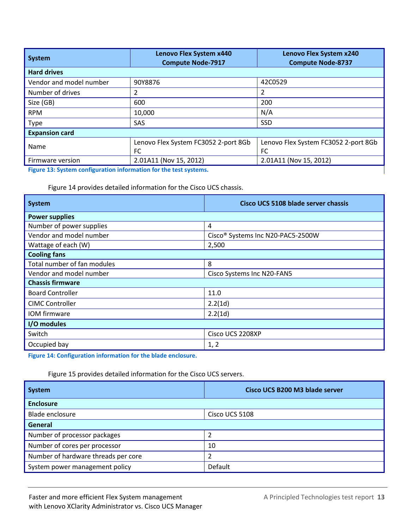| System                  | Lenovo Flex System x440<br><b>Compute Node-7917</b> | Lenovo Flex System x240<br><b>Compute Node-8737</b> |  |
|-------------------------|-----------------------------------------------------|-----------------------------------------------------|--|
| <b>Hard drives</b>      |                                                     |                                                     |  |
| Vendor and model number | 90Y8876                                             | 42C0529                                             |  |
| Number of drives        | 2                                                   | 2                                                   |  |
| Size (GB)               | 600                                                 | 200                                                 |  |
| <b>RPM</b>              | 10,000                                              | N/A                                                 |  |
| <b>Type</b>             | SAS                                                 | <b>SSD</b>                                          |  |
| <b>Expansion card</b>   |                                                     |                                                     |  |
| Name                    | Lenovo Flex System FC3052 2-port 8Gb                | Lenovo Flex System FC3052 2-port 8Gb                |  |
|                         | FC                                                  | FC                                                  |  |
| Firmware version        | 2.01A11 (Nov 15, 2012)                              | 2.01A11 (Nov 15, 2012)                              |  |

**Figure 13: System configuration information for the test systems.**

Figure 14 provides detailed information for the Cisco UCS chassis.

| System                      | Cisco UCS 5108 blade server chassis |  |  |  |
|-----------------------------|-------------------------------------|--|--|--|
| <b>Power supplies</b>       |                                     |  |  |  |
| Number of power supplies    | 4                                   |  |  |  |
| Vendor and model number     | Cisco® Systems Inc N20-PAC5-2500W   |  |  |  |
| Wattage of each (W)         | 2,500                               |  |  |  |
| <b>Cooling fans</b>         |                                     |  |  |  |
| Total number of fan modules | 8                                   |  |  |  |
| Vendor and model number     | Cisco Systems Inc N20-FAN5          |  |  |  |
| <b>Chassis firmware</b>     |                                     |  |  |  |
| <b>Board Controller</b>     | 11.0                                |  |  |  |
| <b>CIMC Controller</b>      | 2.2(1d)                             |  |  |  |
| IOM firmware                | 2.2(1d)                             |  |  |  |
| I/O modules                 |                                     |  |  |  |
| Switch                      | Cisco UCS 2208XP                    |  |  |  |
| Occupied bay                | 1, 2                                |  |  |  |

**Figure 14: Configuration information for the blade enclosure.**

Figure 15 provides detailed information for the Cisco UCS servers.

| <b>System</b>                       | Cisco UCS B200 M3 blade server |
|-------------------------------------|--------------------------------|
| <b>Enclosure</b>                    |                                |
| <b>Blade enclosure</b>              | Cisco UCS 5108                 |
| General                             |                                |
| Number of processor packages        |                                |
| Number of cores per processor       | 10                             |
| Number of hardware threads per core | 2                              |
| System power management policy      | Default                        |

ı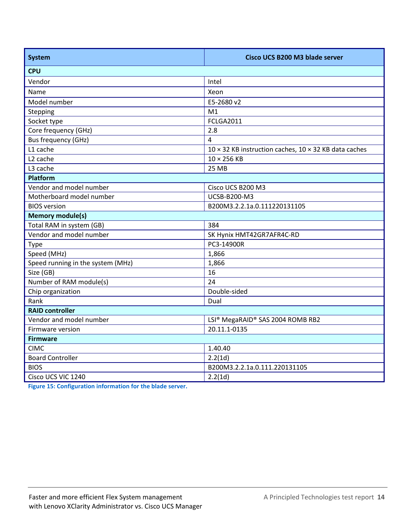| <b>System</b>                     | Cisco UCS B200 M3 blade server                        |
|-----------------------------------|-------------------------------------------------------|
| <b>CPU</b>                        |                                                       |
| Vendor                            | Intel                                                 |
| Name                              | Xeon                                                  |
| Model number                      | E5-2680 v2                                            |
| Stepping                          | M1                                                    |
| Socket type                       | <b>FCLGA2011</b>                                      |
| Core frequency (GHz)              | 2.8                                                   |
| <b>Bus frequency (GHz)</b>        | $\overline{a}$                                        |
| L1 cache                          | 10 × 32 KB instruction caches, 10 × 32 KB data caches |
| L <sub>2</sub> cache              | $10 \times 256$ KB                                    |
| L3 cache                          | <b>25 MB</b>                                          |
| <b>Platform</b>                   |                                                       |
| Vendor and model number           | Cisco UCS B200 M3                                     |
| Motherboard model number          | UCSB-B200-M3                                          |
| <b>BIOS</b> version               | B200M3.2.2.1a.0.111220131105                          |
| <b>Memory module(s)</b>           |                                                       |
| Total RAM in system (GB)          | 384                                                   |
| Vendor and model number           | SK Hynix HMT42GR7AFR4C-RD                             |
| <b>Type</b>                       | PC3-14900R                                            |
| Speed (MHz)                       | 1,866                                                 |
| Speed running in the system (MHz) | 1,866                                                 |
| Size (GB)                         | 16                                                    |
| Number of RAM module(s)           | 24                                                    |
| Chip organization                 | Double-sided                                          |
| Rank                              | Dual                                                  |
| <b>RAID controller</b>            |                                                       |
| Vendor and model number           | LSI® MegaRAID® SAS 2004 ROMB RB2                      |
| Firmware version                  | 20.11.1-0135                                          |
| <b>Firmware</b>                   |                                                       |
| <b>CIMC</b>                       | 1.40.40                                               |
| <b>Board Controller</b>           | 2.2(1d)                                               |
| <b>BIOS</b>                       | B200M3.2.2.1a.0.111.220131105                         |
| Cisco UCS VIC 1240                | 2.2(1d)                                               |

**Figure 15: Configuration information for the blade server.**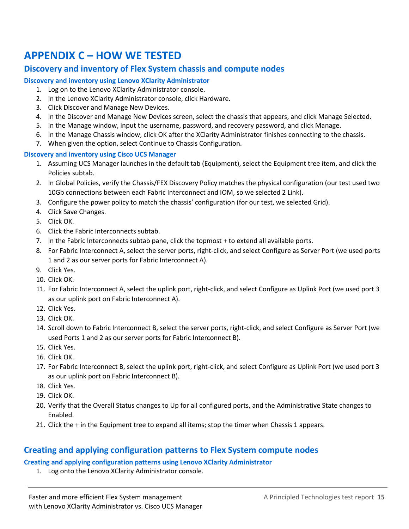# <span id="page-14-0"></span>**APPENDIX C – HOW WE TESTED**

#### **Discovery and inventory of Flex System chassis and compute nodes**

#### **Discovery and inventory using Lenovo XClarity Administrator**

- 1. Log on to the Lenovo XClarity Administrator console.
- 2. In the Lenovo XClarity Administrator console, click Hardware.
- 3. Click Discover and Manage New Devices.
- 4. In the Discover and Manage New Devices screen, select the chassis that appears, and click Manage Selected.
- 5. In the Manage window, input the username, password, and recovery password, and click Manage.
- 6. In the Manage Chassis window, click OK after the XClarity Administrator finishes connecting to the chassis.
- 7. When given the option, select Continue to Chassis Configuration.

#### **Discovery and inventory using Cisco UCS Manager**

- 1. Assuming UCS Manager launches in the default tab (Equipment), select the Equipment tree item, and click the Policies subtab.
- 2. In Global Policies, verify the Chassis/FEX Discovery Policy matches the physical configuration (our test used two 10Gb connections between each Fabric Interconnect and IOM, so we selected 2 Link).
- 3. Configure the power policy to match the chassis' configuration (for our test, we selected Grid).
- 4. Click Save Changes.
- 5. Click OK.
- 6. Click the Fabric Interconnects subtab.
- 7. In the Fabric Interconnects subtab pane, click the topmost + to extend all available ports.
- 8. For Fabric Interconnect A, select the server ports, right-click, and select Configure as Server Port (we used ports 1 and 2 as our server ports for Fabric Interconnect A).
- 9. Click Yes.
- 10. Click OK.
- 11. For Fabric Interconnect A, select the uplink port, right-click, and select Configure as Uplink Port (we used port 3 as our uplink port on Fabric Interconnect A).
- 12. Click Yes.
- 13. Click OK.
- 14. Scroll down to Fabric Interconnect B, select the server ports, right-click, and select Configure as Server Port (we used Ports 1 and 2 as our server ports for Fabric Interconnect B).
- 15. Click Yes.
- 16. Click OK.
- 17. For Fabric Interconnect B, select the uplink port, right-click, and select Configure as Uplink Port (we used port 3 as our uplink port on Fabric Interconnect B).
- 18. Click Yes.
- 19. Click OK.
- 20. Verify that the Overall Status changes to Up for all configured ports, and the Administrative State changes to Enabled.
- 21. Click the + in the Equipment tree to expand all items; stop the timer when Chassis 1 appears.

#### **Creating and applying configuration patterns to Flex System compute nodes**

#### **Creating and applying configuration patterns using Lenovo XClarity Administrator**

1. Log onto the Lenovo XClarity Administrator console.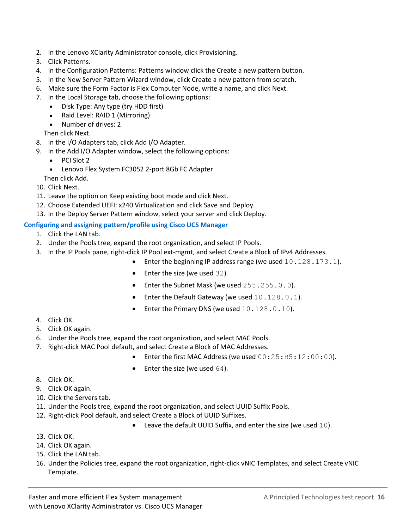- 2. In the Lenovo XClarity Administrator console, click Provisioning.
- 3. Click Patterns.
- 4. In the Configuration Patterns: Patterns window click the Create a new pattern button.
- 5. In the New Server Pattern Wizard window, click Create a new pattern from scratch.
- 6. Make sure the Form Factor is Flex Computer Node, write a name, and click Next.
- 7. In the Local Storage tab, choose the following options:
	- Disk Type: Any type (try HDD first)
	- Raid Level: RAID 1 (Mirroring)
	- Number of drives: 2

Then click Next.

- 8. In the I/O Adapters tab, click Add I/O Adapter.
- 9. In the Add I/O Adapter window, select the following options:
	- PCI Slot 2
	- Lenovo Flex System FC3052 2-port 8Gb FC Adapter
	- Then click Add.
- 10. Click Next.
- 11. Leave the option on Keep existing boot mode and click Next.
- 12. Choose Extended UEFI: x240 Virtualization and click Save and Deploy.
- 13. In the Deploy Server Pattern window, select your server and click Deploy.

#### **Configuring and assigning pattern/profile using Cisco UCS Manager**

- 1. Click the LAN tab.
- 2. Under the Pools tree, expand the root organization, and select IP Pools.
- 3. In the IP Pools pane, right-click IP Pool ext-mgmt, and select Create a Block of IPv4 Addresses.
	- Enter the beginning IP address range (we used 10.128.173.1).
		- Enter the size (we used 32).
		- Enter the Subnet Mask (we used 255.255.0.0).
		- Enter the Default Gateway (we used 10.128.0.1).
		- Enter the Primary DNS (we used 10.128.0.10).

- 4. Click OK.
- 5. Click OK again.
- 6. Under the Pools tree, expand the root organization, and select MAC Pools.
- 7. Right-click MAC Pool default, and select Create a Block of MAC Addresses.
	- Enter the first MAC Address (we used  $00:25:B5:12:00:00$ ).
	- Enter the size (we used 64).

- 8. Click OK.
- 9. Click OK again.
- 10. Click the Servers tab.
- 11. Under the Pools tree, expand the root organization, and select UUID Suffix Pools.
- 12. Right-click Pool default, and select Create a Block of UUID Suffixes.
	- Leave the default UUID Suffix, and enter the size (we used 10).

- 13. Click OK.
- 14. Click OK again.
- 15. Click the LAN tab.
- 16. Under the Policies tree, expand the root organization, right-click vNIC Templates, and select Create vNIC Template.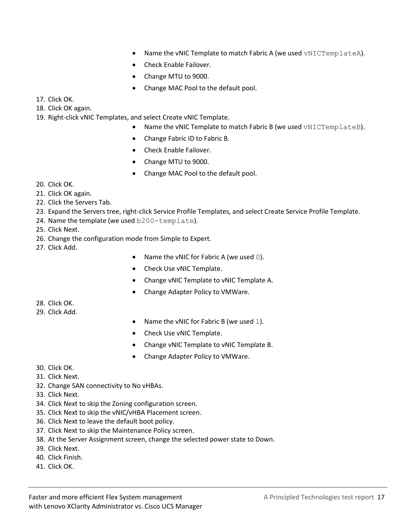- Name the vNIC Template to match Fabric A (we used vNICTemplateA).
- Check Enable Failover.
- Change MTU to 9000.
- Change MAC Pool to the default pool.

17. Click OK.

18. Click OK again.

19. Right-click vNIC Templates, and select Create vNIC Template.

- Name the vNIC Template to match Fabric B (we used vNICTemplateB).
- Change Fabric ID to Fabric B.
- Check Enable Failover.
- Change MTU to 9000.
- Change MAC Pool to the default pool.

- 20. Click OK.
- 21. Click OK again.
- 22. Click the Servers Tab.
- 23. Expand the Servers tree, right-click Service Profile Templates, and select Create Service Profile Template.
- 24. Name the template (we used b200-template).

25. Click Next.

26. Change the configuration mode from Simple to Expert.

27. Click Add.

- Name the vNIC for Fabric A (we used 0).
- Check Use vNIC Template.
- Change vNIC Template to vNIC Template A.
- Change Adapter Policy to VMWare.

- 28. Click OK.
- 29. Click Add.
- Name the vNIC for Fabric B (we used 1).
- Check Use vNIC Template.
- Change vNIC Template to vNIC Template B.
- Change Adapter Policy to VMWare.

- 30. Click OK.
- 31. Click Next.
- 32. Change SAN connectivity to No vHBAs.
- 33. Click Next.
- 34. Click Next to skip the Zoning configuration screen.
- 35. Click Next to skip the vNIC/vHBA Placement screen.
- 36. Click Next to leave the default boot policy.
- 37. Click Next to skip the Maintenance Policy screen.
- 38. At the Server Assignment screen, change the selected power state to Down.
- 39. Click Next.
- 40. Click Finish.
- 41. Click OK.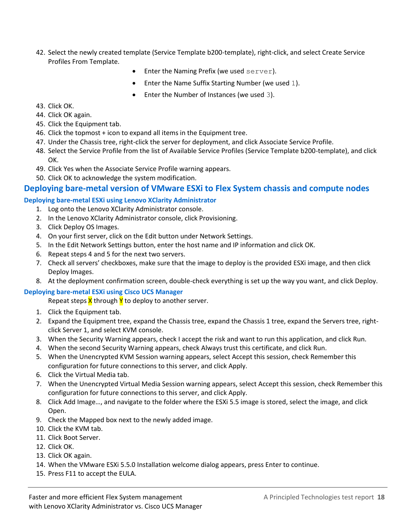- 42. Select the newly created template (Service Template b200-template), right-click, and select Create Service Profiles From Template.
	- Enter the Naming Prefix (we used server).
	- Enter the Name Suffix Starting Number (we used 1).
	- Enter the Number of Instances (we used 3).

- 43. Click OK.
- 44. Click OK again.
- 45. Click the Equipment tab.
- 46. Click the topmost + icon to expand all items in the Equipment tree.
- 47. Under the Chassis tree, right-click the server for deployment, and click Associate Service Profile.
- 48. Select the Service Profile from the list of Available Service Profiles (Service Template b200-template), and click OK.
- 49. Click Yes when the Associate Service Profile warning appears.
- 50. Click OK to acknowledge the system modification.

#### **Deploying bare-metal version of VMware ESXi to Flex System chassis and compute nodes**

#### **Deploying bare-metal ESXi using Lenovo XClarity Administrator**

- 1. Log onto the Lenovo XClarity Administrator console.
- 2. In the Lenovo XClarity Administrator console, click Provisioning.
- 3. Click Deploy OS Images.
- 4. On your first server, click on the Edit button under Network Settings.
- 5. In the Edit Network Settings button, enter the host name and IP information and click OK.
- 6. Repeat steps 4 and 5 for the next two servers.
- 7. Check all servers' checkboxes, make sure that the image to deploy is the provided ESXi image, and then click Deploy Images.
- 8. At the deployment confirmation screen, double-check everything is set up the way you want, and click Deploy.

#### **Deploying bare-metal ESXi using Cisco UCS Manager**

Repeat steps  $X$  through  $Y$  to deploy to another server.

- 1. Click the Equipment tab.
- 2. Expand the Equipment tree, expand the Chassis tree, expand the Chassis 1 tree, expand the Servers tree, rightclick Server 1, and select KVM console.
- 3. When the Security Warning appears, check I accept the risk and want to run this application, and click Run.
- 4. When the second Security Warning appears, check Always trust this certificate, and click Run.
- 5. When the Unencrypted KVM Session warning appears, select Accept this session, check Remember this configuration for future connections to this server, and click Apply.
- 6. Click the Virtual Media tab.
- 7. When the Unencrypted Virtual Media Session warning appears, select Accept this session, check Remember this configuration for future connections to this server, and click Apply.
- 8. Click Add Image…, and navigate to the folder where the ESXi 5.5 image is stored, select the image, and click Open.
- 9. Check the Mapped box next to the newly added image.
- 10. Click the KVM tab.
- 11. Click Boot Server.
- 12. Click OK.
- 13. Click OK again.
- 14. When the VMware ESXi 5.5.0 Installation welcome dialog appears, press Enter to continue.
- 15. Press F11 to accept the EULA.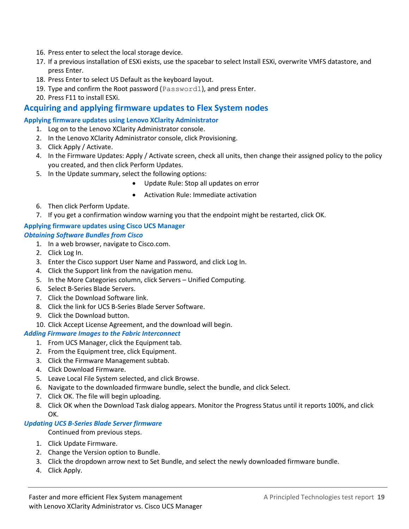- 16. Press enter to select the local storage device.
- 17. If a previous installation of ESXi exists, use the spacebar to select Install ESXi, overwrite VMFS datastore, and press Enter.
- 18. Press Enter to select US Default as the keyboard layout.
- 19. Type and confirm the Root password (Password1), and press Enter.
- 20. Press F11 to install ESXi.

#### **Acquiring and applying firmware updates to Flex System nodes**

#### **Applying firmware updates using Lenovo XClarity Administrator**

- 1. Log on to the Lenovo XClarity Administrator console.
- 2. In the Lenovo XClarity Administrator console, click Provisioning.
- 3. Click Apply / Activate.
- 4. In the Firmware Updates: Apply / Activate screen, check all units, then change their assigned policy to the policy you created, and then click Perform Updates.
- 5. In the Update summary, select the following options:
	- Update Rule: Stop all updates on error
	- Activation Rule: Immediate activation
- 6. Then click Perform Update.
- 7. If you get a confirmation window warning you that the endpoint might be restarted, click OK.

#### **Applying firmware updates using Cisco UCS Manager** *Obtaining Software Bundles from Cisco*

- 1. In a web browser, navigate to Cisco.com.
- 2. Click Log In.
- 3. Enter the Cisco support User Name and Password, and click Log In.
- 4. Click the Support link from the navigation menu.
- 5. In the More Categories column, click Servers Unified Computing.
- 6. Select B-Series Blade Servers.
- 7. Click the Download Software link.
- 8. Click the link for UCS B-Series Blade Server Software.
- 9. Click the Download button.
- 10. Click Accept License Agreement, and the download will begin.

#### *Adding Firmware Images to the Fabric Interconnect*

- 1. From UCS Manager, click the Equipment tab.
- 2. From the Equipment tree, click Equipment.
- 3. Click the Firmware Management subtab.
- 4. Click Download Firmware.
- 5. Leave Local File System selected, and click Browse.
- 6. Navigate to the downloaded firmware bundle, select the bundle, and click Select.
- 7. Click OK. The file will begin uploading.
- 8. Click OK when the Download Task dialog appears. Monitor the Progress Status until it reports 100%, and click OK.

#### *Updating UCS B-Series Blade Server firmware*

Continued from previous steps.

- 1. Click Update Firmware.
- 2. Change the Version option to Bundle.
- 3. Click the dropdown arrow next to Set Bundle, and select the newly downloaded firmware bundle.
- 4. Click Apply.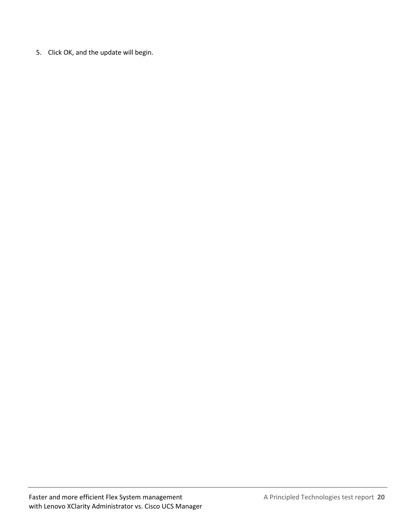5. Click OK, and the update will begin.